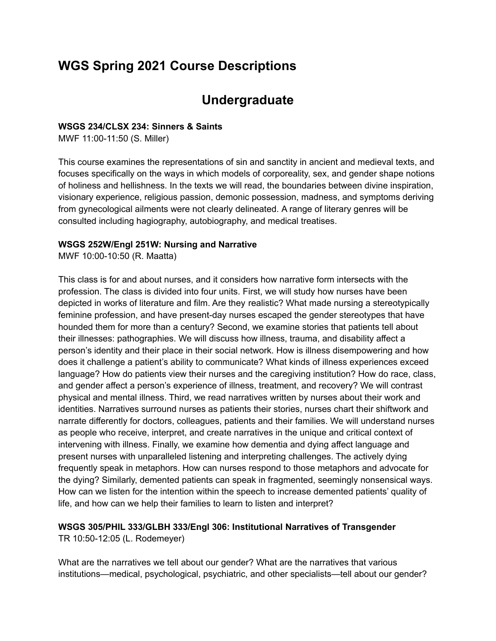# **WGS Spring 2021 Course Descriptions**

# **Undergraduate**

#### **WSGS 234/CLSX 234: Sinners & Saints**

MWF 11:00-11:50 (S. Miller)

This course examines the representations of sin and sanctity in ancient and medieval texts, and focuses specifically on the ways in which models of corporeality, sex, and gender shape notions of holiness and hellishness. In the texts we will read, the boundaries between divine inspiration, visionary experience, religious passion, demonic possession, madness, and symptoms deriving from gynecological ailments were not clearly delineated. A range of literary genres will be consulted including hagiography, autobiography, and medical treatises.

#### **WSGS 252W/Engl 251W: Nursing and Narrative**

MWF 10:00-10:50 (R. Maatta)

This class is for and about nurses, and it considers how narrative form intersects with the profession. The class is divided into four units. First, we will study how nurses have been depicted in works of literature and film. Are they realistic? What made nursing a stereotypically feminine profession, and have present-day nurses escaped the gender stereotypes that have hounded them for more than a century? Second, we examine stories that patients tell about their illnesses: pathographies. We will discuss how illness, trauma, and disability affect a person's identity and their place in their social network. How is illness disempowering and how does it challenge a patient's ability to communicate? What kinds of illness experiences exceed language? How do patients view their nurses and the caregiving institution? How do race, class, and gender affect a person's experience of illness, treatment, and recovery? We will contrast physical and mental illness. Third, we read narratives written by nurses about their work and identities. Narratives surround nurses as patients their stories, nurses chart their shiftwork and narrate differently for doctors, colleagues, patients and their families. We will understand nurses as people who receive, interpret, and create narratives in the unique and critical context of intervening with illness. Finally, we examine how dementia and dying affect language and present nurses with unparalleled listening and interpreting challenges. The actively dying frequently speak in metaphors. How can nurses respond to those metaphors and advocate for the dying? Similarly, demented patients can speak in fragmented, seemingly nonsensical ways. How can we listen for the intention within the speech to increase demented patients' quality of life, and how can we help their families to learn to listen and interpret?

# **WSGS 305/PHIL 333/GLBH 333/Engl 306: Institutional Narratives of Transgender** TR 10:50-12:05 (L. Rodemeyer)

What are the narratives we tell about our gender? What are the narratives that various institutions—medical, psychological, psychiatric, and other specialists—tell about our gender?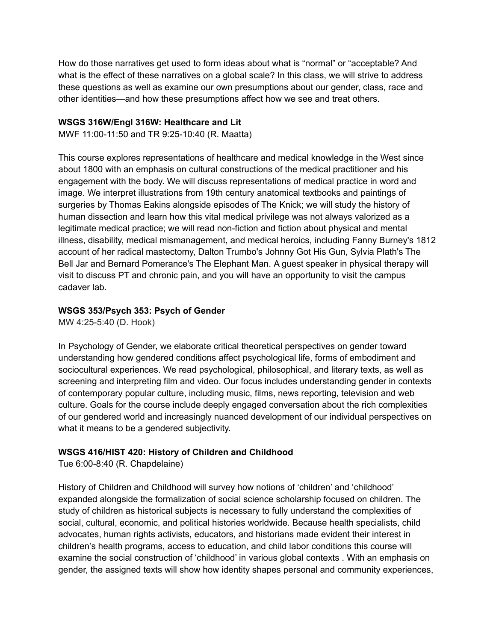How do those narratives get used to form ideas about what is "normal" or "acceptable? And what is the effect of these narratives on a global scale? In this class, we will strive to address these questions as well as examine our own presumptions about our gender, class, race and other identities—and how these presumptions affect how we see and treat others.

#### **WSGS 316W/Engl 316W: Healthcare and Lit**

MWF 11:00-11:50 and TR 9:25-10:40 (R. Maatta)

This course explores representations of healthcare and medical knowledge in the West since about 1800 with an emphasis on cultural constructions of the medical practitioner and his engagement with the body. We will discuss representations of medical practice in word and image. We interpret illustrations from 19th century anatomical textbooks and paintings of surgeries by Thomas Eakins alongside episodes of The Knick; we will study the history of human dissection and learn how this vital medical privilege was not always valorized as a legitimate medical practice; we will read non-fiction and fiction about physical and mental illness, disability, medical mismanagement, and medical heroics, including Fanny Burney's 1812 account of her radical mastectomy, Dalton Trumbo's Johnny Got His Gun, Sylvia Plath's The Bell Jar and Bernard Pomerance's The Elephant Man. A guest speaker in physical therapy will visit to discuss PT and chronic pain, and you will have an opportunity to visit the campus cadaver lab.

#### **WSGS 353/Psych 353: Psych of Gender**

MW 4:25-5:40 (D. Hook)

In Psychology of Gender, we elaborate critical theoretical perspectives on gender toward understanding how gendered conditions affect psychological life, forms of embodiment and sociocultural experiences. We read psychological, philosophical, and literary texts, as well as screening and interpreting film and video. Our focus includes understanding gender in contexts of contemporary popular culture, including music, films, news reporting, television and web culture. Goals for the course include deeply engaged conversation about the rich complexities of our gendered world and increasingly nuanced development of our individual perspectives on what it means to be a gendered subjectivity.

#### **WSGS 416/HIST 420: History of Children and Childhood**

Tue 6:00-8:40 (R. Chapdelaine)

History of Children and Childhood will survey how notions of 'children' and 'childhood' expanded alongside the formalization of social science scholarship focused on children. The study of children as historical subjects is necessary to fully understand the complexities of social, cultural, economic, and political histories worldwide. Because health specialists, child advocates, human rights activists, educators, and historians made evident their interest in children's health programs, access to education, and child labor conditions this course will examine the social construction of 'childhood' in various global contexts . With an emphasis on gender, the assigned texts will show how identity shapes personal and community experiences,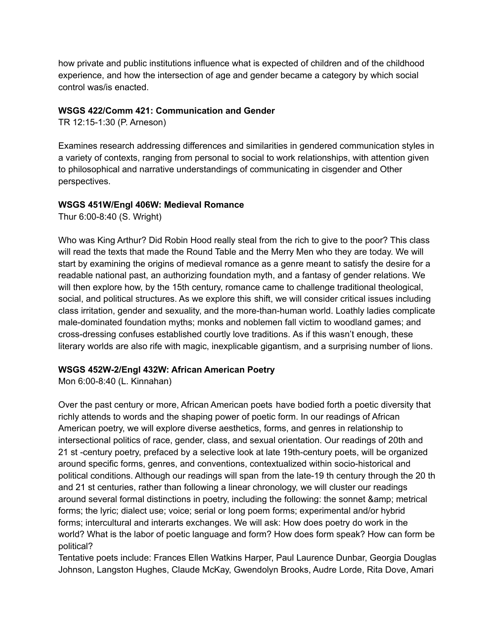how private and public institutions influence what is expected of children and of the childhood experience, and how the intersection of age and gender became a category by which social control was/is enacted.

## **WSGS 422/Comm 421: Communication and Gender**

TR 12:15-1:30 (P. Arneson)

Examines research addressing differences and similarities in gendered communication styles in a variety of contexts, ranging from personal to social to work relationships, with attention given to philosophical and narrative understandings of communicating in cisgender and Other perspectives.

## **WSGS 451W/Engl 406W: Medieval Romance**

Thur 6:00-8:40 (S. Wright)

Who was King Arthur? Did Robin Hood really steal from the rich to give to the poor? This class will read the texts that made the Round Table and the Merry Men who they are today. We will start by examining the origins of medieval romance as a genre meant to satisfy the desire for a readable national past, an authorizing foundation myth, and a fantasy of gender relations. We will then explore how, by the 15th century, romance came to challenge traditional theological, social, and political structures. As we explore this shift, we will consider critical issues including class irritation, gender and sexuality, and the more-than-human world. Loathly ladies complicate male-dominated foundation myths; monks and noblemen fall victim to woodland games; and cross-dressing confuses established courtly love traditions. As if this wasn't enough, these literary worlds are also rife with magic, inexplicable gigantism, and a surprising number of lions.

# **WSGS 452W-2/Engl 432W: African American Poetry**

Mon 6:00-8:40 (L. Kinnahan)

Over the past century or more, African American poets have bodied forth a poetic diversity that richly attends to words and the shaping power of poetic form. In our readings of African American poetry, we will explore diverse aesthetics, forms, and genres in relationship to intersectional politics of race, gender, class, and sexual orientation. Our readings of 20th and 21 st -century poetry, prefaced by a selective look at late 19th-century poets, will be organized around specific forms, genres, and conventions, contextualized within socio-historical and political conditions. Although our readings will span from the late-19 th century through the 20 th and 21 st centuries, rather than following a linear chronology, we will cluster our readings around several formal distinctions in poetry, including the following: the sonnet & amp; metrical forms; the lyric; dialect use; voice; serial or long poem forms; experimental and/or hybrid forms; intercultural and interarts exchanges. We will ask: How does poetry do work in the world? What is the labor of poetic language and form? How does form speak? How can form be political?

Tentative poets include: Frances Ellen Watkins Harper, Paul Laurence Dunbar, Georgia Douglas Johnson, Langston Hughes, Claude McKay, Gwendolyn Brooks, Audre Lorde, Rita Dove, Amari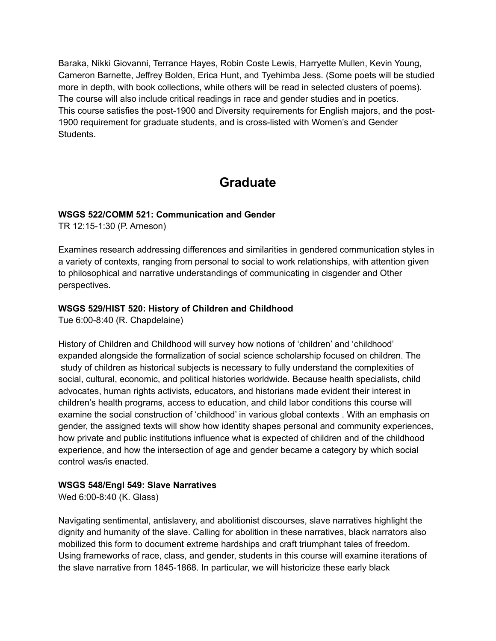Baraka, Nikki Giovanni, Terrance Hayes, Robin Coste Lewis, Harryette Mullen, Kevin Young, Cameron Barnette, Jeffrey Bolden, Erica Hunt, and Tyehimba Jess. (Some poets will be studied more in depth, with book collections, while others will be read in selected clusters of poems). The course will also include critical readings in race and gender studies and in poetics. This course satisfies the post-1900 and Diversity requirements for English majors, and the post-1900 requirement for graduate students, and is cross-listed with Women's and Gender Students.

# **Graduate**

## **WSGS 522/COMM 521: Communication and Gender**

TR 12:15-1:30 (P. Arneson)

Examines research addressing differences and similarities in gendered communication styles in a variety of contexts, ranging from personal to social to work relationships, with attention given to philosophical and narrative understandings of communicating in cisgender and Other perspectives.

## **WSGS 529/HIST 520: History of Children and Childhood**

Tue 6:00-8:40 (R. Chapdelaine)

History of Children and Childhood will survey how notions of 'children' and 'childhood' expanded alongside the formalization of social science scholarship focused on children. The study of children as historical subjects is necessary to fully understand the complexities of social, cultural, economic, and political histories worldwide. Because health specialists, child advocates, human rights activists, educators, and historians made evident their interest in children's health programs, access to education, and child labor conditions this course will examine the social construction of 'childhood' in various global contexts . With an emphasis on gender, the assigned texts will show how identity shapes personal and community experiences, how private and public institutions influence what is expected of children and of the childhood experience, and how the intersection of age and gender became a category by which social control was/is enacted.

#### **WSGS 548/Engl 549: Slave Narratives**

Wed 6:00-8:40 (K. Glass)

Navigating sentimental, antislavery, and abolitionist discourses, slave narratives highlight the dignity and humanity of the slave. Calling for abolition in these narratives, black narrators also mobilized this form to document extreme hardships and craft triumphant tales of freedom. Using frameworks of race, class, and gender, students in this course will examine iterations of the slave narrative from 1845-1868. In particular, we will historicize these early black